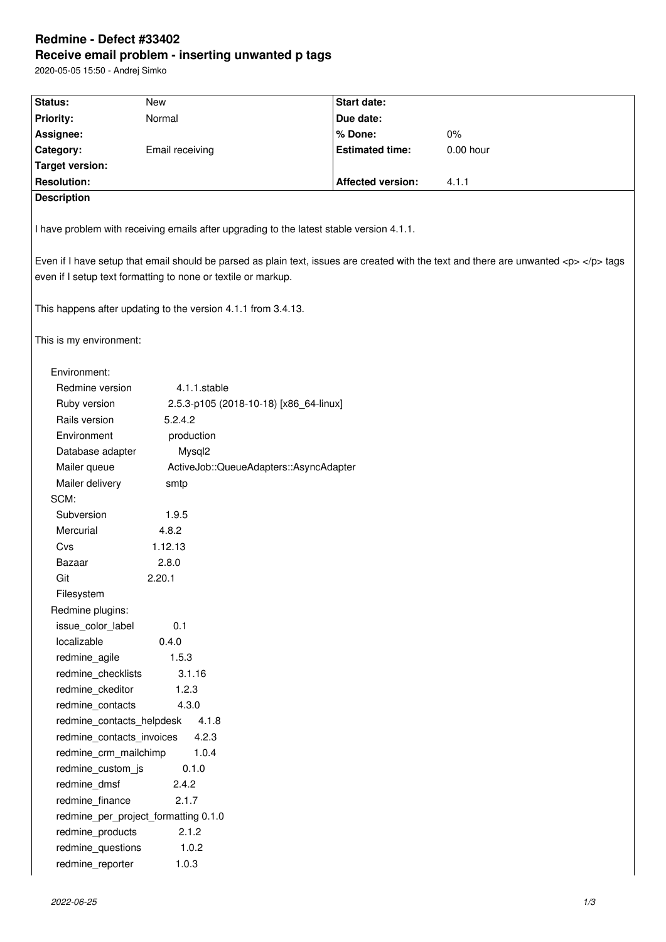# **Redmine - Defect #33402 Receive email problem - inserting unwanted p tags**

2020-05-05 15:50 - Andrej Simko

| Status:                                                                                                                          | New                                                           | <b>Start date:</b>       |             |  |
|----------------------------------------------------------------------------------------------------------------------------------|---------------------------------------------------------------|--------------------------|-------------|--|
| <b>Priority:</b>                                                                                                                 | Normal                                                        | Due date:                |             |  |
| Assignee:                                                                                                                        |                                                               | % Done:                  | $0\%$       |  |
| Category:                                                                                                                        | Email receiving                                               | <b>Estimated time:</b>   | $0.00$ hour |  |
| <b>Target version:</b>                                                                                                           |                                                               |                          |             |  |
| <b>Resolution:</b>                                                                                                               |                                                               | <b>Affected version:</b> | 4.1.1       |  |
| <b>Description</b>                                                                                                               |                                                               |                          |             |  |
|                                                                                                                                  |                                                               |                          |             |  |
| I have problem with receiving emails after upgrading to the latest stable version 4.1.1.                                         |                                                               |                          |             |  |
| Even if I have setup that email should be parsed as plain text, issues are created with the text and there are unwanted <p> </p> |                                                               |                          |             |  |
|                                                                                                                                  | even if I setup text formatting to none or textile or markup. |                          |             |  |
|                                                                                                                                  |                                                               |                          |             |  |
| This happens after updating to the version 4.1.1 from 3.4.13.                                                                    |                                                               |                          |             |  |
| This is my environment:                                                                                                          |                                                               |                          |             |  |
| Environment:                                                                                                                     |                                                               |                          |             |  |
| Redmine version                                                                                                                  | 4.1.1.stable                                                  |                          |             |  |
| Ruby version                                                                                                                     | 2.5.3-p105 (2018-10-18) [x86 64-linux]                        |                          |             |  |
| Rails version                                                                                                                    | 5.2.4.2                                                       |                          |             |  |
| Environment                                                                                                                      | production                                                    |                          |             |  |
| Database adapter                                                                                                                 | Mysql2                                                        |                          |             |  |
| Mailer queue                                                                                                                     | ActiveJob::QueueAdapters::AsyncAdapter                        |                          |             |  |
| Mailer delivery                                                                                                                  | smtp                                                          |                          |             |  |
| SCM:                                                                                                                             |                                                               |                          |             |  |
| Subversion                                                                                                                       | 1.9.5                                                         |                          |             |  |
| Mercurial                                                                                                                        | 4.8.2                                                         |                          |             |  |
| Cvs                                                                                                                              | 1.12.13                                                       |                          |             |  |
| Bazaar                                                                                                                           | 2.8.0                                                         |                          |             |  |
| Git                                                                                                                              | 2.20.1                                                        |                          |             |  |
| Filesystem                                                                                                                       |                                                               |                          |             |  |
| Redmine plugins:                                                                                                                 |                                                               |                          |             |  |
| issue color label                                                                                                                | 0.1                                                           |                          |             |  |
| localizable                                                                                                                      | 0.4.0                                                         |                          |             |  |
| redmine_agile                                                                                                                    | 1.5.3                                                         |                          |             |  |
| redmine_checklists                                                                                                               | 3.1.16                                                        |                          |             |  |
| redmine_ckeditor                                                                                                                 | 1.2.3                                                         |                          |             |  |
| redmine_contacts                                                                                                                 | 4.3.0                                                         |                          |             |  |
| redmine_contacts_helpdesk                                                                                                        | 4.1.8                                                         |                          |             |  |
| redmine_contacts_invoices                                                                                                        | 4.2.3                                                         |                          |             |  |
| redmine_crm_mailchimp                                                                                                            | 1.0.4                                                         |                          |             |  |
| redmine_custom_js                                                                                                                | 0.1.0                                                         |                          |             |  |
| redmine_dmsf<br>2.4.2                                                                                                            |                                                               |                          |             |  |
| 2.1.7<br>redmine_finance                                                                                                         |                                                               |                          |             |  |
| redmine_per_project_formatting 0.1.0                                                                                             |                                                               |                          |             |  |
| 2.1.2<br>redmine_products                                                                                                        |                                                               |                          |             |  |
| redmine_questions                                                                                                                | 1.0.2                                                         |                          |             |  |
| redmine_reporter                                                                                                                 | 1.0.3                                                         |                          |             |  |
|                                                                                                                                  |                                                               |                          |             |  |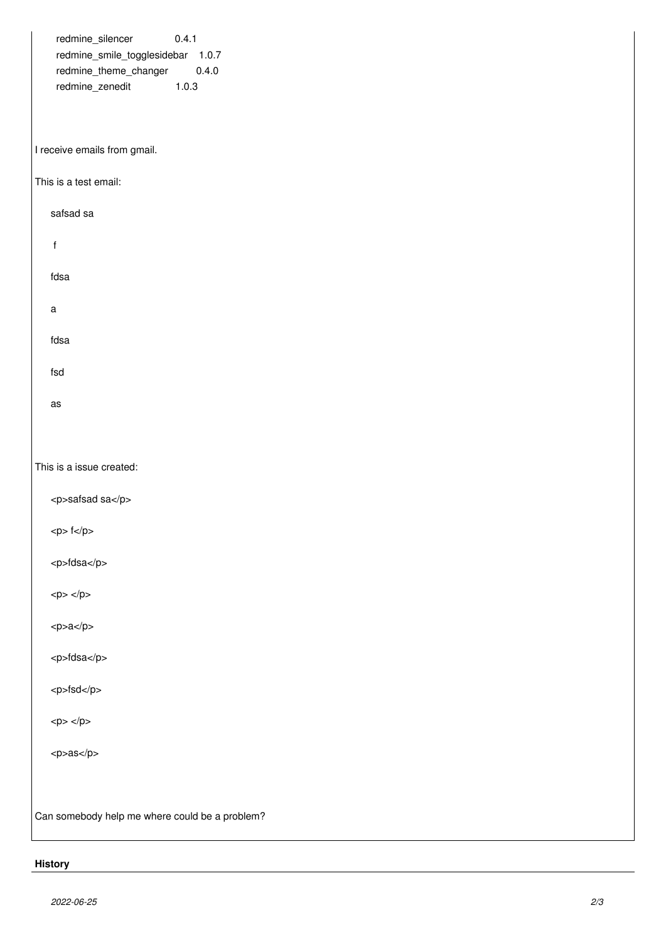| redmine_silencer<br>0.4.1<br>redmine_smile_togglesidebar 1.0.7<br>redmine_theme_changer<br>0.4.0<br>redmine_zenedit<br>1.0.3 |
|------------------------------------------------------------------------------------------------------------------------------|
| I receive emails from gmail.                                                                                                 |
| This is a test email:                                                                                                        |
| safsad sa                                                                                                                    |
| $\mathsf f$                                                                                                                  |
| fdsa                                                                                                                         |
| $\mathsf a$                                                                                                                  |
| fdsa                                                                                                                         |
| fsd                                                                                                                          |
| as                                                                                                                           |
|                                                                                                                              |
| This is a issue created:                                                                                                     |
| <p>safsad sa</p>                                                                                                             |
| <p>fc/p&gt;</p>                                                                                                              |
| <p>fdsa</p>                                                                                                                  |
| $<\!\!p\!\!>$ $<\!\!/\!\!p\!\!>$                                                                                             |
| <p>aa</p>                                                                                                                    |
| <p>fdsa</p>                                                                                                                  |
| <p>fsd</p>                                                                                                                   |
| <p><p><p></p></p></p>                                                                                                        |
| <p>as</p>                                                                                                                    |
|                                                                                                                              |
| Can somebody help me where could be a problem?                                                                               |

# **History**